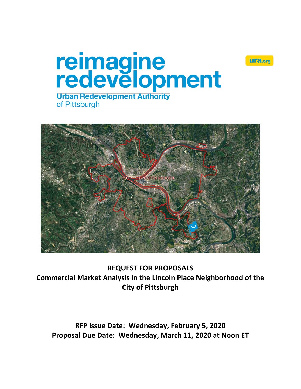# reimagine<br>redevelopment



**Urban Redevelopment Authority** of Pittsburgh



**REQUEST FOR PROPOSALS Commercial Market Analysis in the Lincoln Place Neighborhood of the City of Pittsburgh**

**RFP Issue Date: Wednesday, February 5, 2020 Proposal Due Date: Wednesday, March 11, 2020 at Noon ET**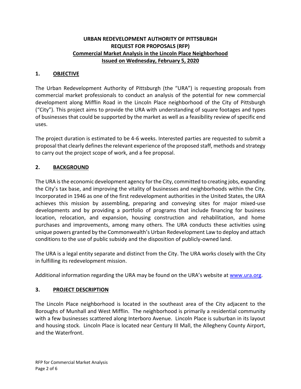## **URBAN REDEVELOPMENT AUTHORITY OF PITTSBURGH REQUEST FOR PROPOSALS (RFP) Commercial Market Analysis in the Lincoln Place Neighborhood Issued on Wednesday, February 5, 2020**

#### **1. OBJECTIVE**

The Urban Redevelopment Authority of Pittsburgh (the "URA") is requesting proposals from commercial market professionals to conduct an analysis of the potential for new commercial development along Mifflin Road in the Lincoln Place neighborhood of the City of Pittsburgh ("City"). This project aims to provide the URA with understanding of square footages and types of businesses that could be supported by the market as well as a feasibility review of specific end uses.

The project duration is estimated to be 4-6 weeks. Interested parties are requested to submit a proposal that clearly defines the relevant experience of the proposed staff, methods and strategy to carry out the project scope of work, and a fee proposal.

## **2. BACKGROUND**

The URA is the economic development agency for the City, committed to creating jobs, expanding the City's tax base, and improving the vitality of businesses and neighborhoods within the City. Incorporated in 1946 as one of the first redevelopment authorities in the United States, the URA achieves this mission by assembling, preparing and conveying sites for major mixed-use developments and by providing a portfolio of programs that include financing for business location, relocation, and expansion, housing construction and rehabilitation, and home purchases and improvements, among many others. The URA conducts these activities using unique powers granted by the Commonwealth's Urban Redevelopment Law to deploy and attach conditions to the use of public subsidy and the disposition of publicly-owned land.

The URA is a legal entity separate and distinct from the City. The URA works closely with the City in fulfilling its redevelopment mission.

Additional information regarding the URA may be found on the URA's website at [www.ura.org.](https://www.ura.org/)

## **3. PROJECT DESCRIPTION**

The Lincoln Place neighborhood is located in the southeast area of the City adjacent to the Boroughs of Munhall and West Mifflin. The neighborhood is primarily a residential community with a few businesses scattered along Interboro Avenue. Lincoln Place is suburban in its layout and housing stock. Lincoln Place is located near Century III Mall, the Allegheny County Airport, and the Waterfront.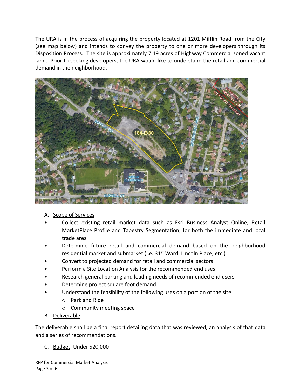The URA is in the process of acquiring the property located at 1201 Mifflin Road from the City (see map below) and intends to convey the property to one or more developers through its Disposition Process. The site is approximately 7.19 acres of Highway Commercial zoned vacant land. Prior to seeking developers, the URA would like to understand the retail and commercial demand in the neighborhood.



# A. Scope of Services

- Collect existing retail market data such as Esri Business Analyst Online, Retail MarketPlace Profile and Tapestry Segmentation, for both the immediate and local trade area
- Determine future retail and commercial demand based on the neighborhood residential market and submarket (i.e. 31<sup>st</sup> Ward, Lincoln Place, etc.)
- Convert to projected demand for retail and commercial sectors
- Perform a Site Location Analysis for the recommended end uses
- Research general parking and loading needs of recommended end users
- Determine project square foot demand
- Understand the feasibility of the following uses on a portion of the site:
	- o Park and Ride
	- o Community meeting space
- B. Deliverable

The deliverable shall be a final report detailing data that was reviewed, an analysis of that data and a series of recommendations.

C. Budget: Under \$20,000

RFP for Commercial Market Analysis Page 3 of 6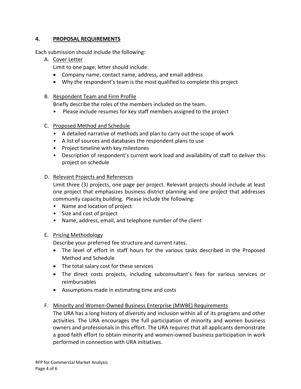## **4. PROPOSAL REQUIREMENTS**

Each submission should include the following:

A. Cover Letter

Limit to one page; letter should include:

- Company name, contact name, address, and email address
- Why the respondent's team is the most qualified to complete this project

## B. Respondent Team and Firm Profile

Briefly describe the roles of the members included on the team.

• Please include resumes for key staff members assigned to the project

## C. Proposed Method and Schedule

- A detailed narrative of methods and plan to carry out the scope of work
- A list of sources and databases the respondent plans to use
- Project timeline with key milestones
- Description of respondent's current work load and availability of staff to deliver this project on schedule

## D. Relevant Projects and References

Limit three (3) projects, one page per project. Relevant projects should include at least one project that emphasizes business district planning and one project that addresses community capacity building. Please include the following:

- Name and location of project
- Size and cost of project
- Name, address, email, and telephone number of the client

## E. Pricing Methodology

Describe your preferred fee structure and current rates.

- The level of effort in staff hours for the various tasks described in the Proposed Method and Schedule
- The total salary cost for these services
- The direct costs projects, including subconsultant's fees for various services or reimbursables
- Assumptions made in estimating time and costs

## F. Minority and Women-Owned Business Enterprise (MWBE) Requirements

The URA has a long history of diversity and inclusion within all of its programs and other activities. The URA encourages the full participation of minority and women business owners and professionals in this effort. The URA requires that all applicants demonstrate a good faith effort to obtain minority and women-owned business participation in work performed in connection with URA initiatives.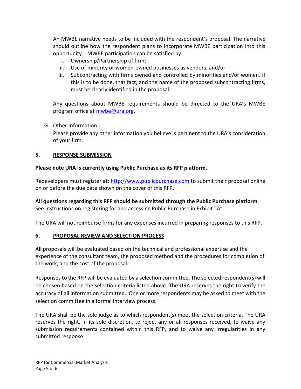An MWBE narrative needs to be included with the respondent's proposal. The narrative should outline how the respondent plans to incorporate MWBE participation into this opportunity. MWBE participation can be satisfied by:

- i. Ownership/Partnership of firm;
- ii. Use of minority or women-owned businesses as vendors; and/or
- iii. Subcontracting with firms owned and controlled by minorities and/or women. If this is to be done, that fact, and the name of the proposed subcontracting firms, must be clearly identified in the proposal.

Any questions about MWBE requirements should be directed to the URA's MWBE program office at [mwbe@ura.org.](mailto:mwbe@ura.org)

## G. Other Information

Please provide any other information you believe is pertinent to the URA's consideration of your firm.

## **5. RESPONSE SUBMISSION**

## **Please note URA is currently using Public Purchase as its RFP platform.**

Redevelopers must register at: [http://www.publicpurchase.com](http://www.publicpurchase.com/) to submit their proposal online on or before the due date shown on the cover of this RFP.

**All questions regarding this RFP should be submitted through the Public Purchase platform**. See instructions on registering for and accessing Public Purchase in Exhibit "A".

The URA will not reimburse firms for any expenses incurred in preparing responses to this RFP.

# **6. PROPOSAL REVIEW AND SELECTION PROCESS**

All proposals will be evaluated based on the technical and professional expertise and the experience of the consultant team, the proposed method and the procedures for completion of the work, and the cost of the proposal.

Responses to the RFP will be evaluated by a selection committee. The selected respondent(s) will be chosen based on the selection criteria listed above. The URA reserves the right to verify the accuracy of all information submitted. One or more respondents may be asked to meet with the selection committee in a formal interview process.

The URA shall be the sole judge as to which respondent(s) meet the selection criteria. The URA reserves the right, in its sole discretion, to reject any or all responses received, to waive any submission requirements contained within this RFP, and to waive any irregularities in any submitted response.